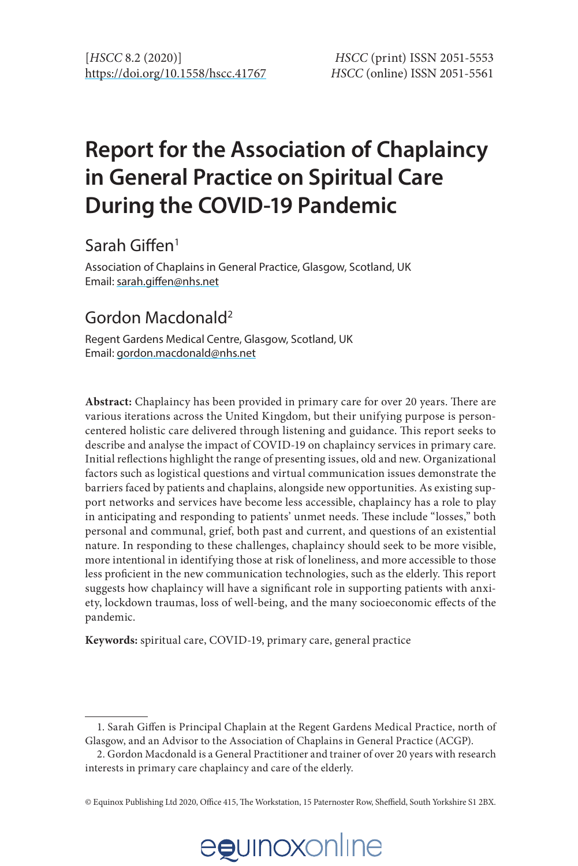# **Report for the Association of Chaplaincy in General Practice on Spiritual Care During the COVID-19 Pandemic**

# Sarah Giffen1

Association of Chaplains in General Practice, Glasgow, Scotland, UK Email: [sarah.giffen@nhs.net](mailto:sarah.giffen@nhs.net)

## Gordon Macdonald2

Regent Gardens Medical Centre, Glasgow, Scotland, UK Email: [gordon.macdonald@nhs.net](mailto:gordon.macdonald@nhs.net)

**Abstract:** Chaplaincy has been provided in primary care for over 20 years. There are various iterations across the United Kingdom, but their unifying purpose is personcentered holistic care delivered through listening and guidance. This report seeks to describe and analyse the impact of COVID-19 on chaplaincy services in primary care. Initial reflections highlight the range of presenting issues, old and new. Organizational factors such as logistical questions and virtual communication issues demonstrate the barriers faced by patients and chaplains, alongside new opportunities. As existing support networks and services have become less accessible, chaplaincy has a role to play in anticipating and responding to patients' unmet needs. These include "losses," both personal and communal, grief, both past and current, and questions of an existential nature. In responding to these challenges, chaplaincy should seek to be more visible, more intentional in identifying those at risk of loneliness, and more accessible to those less proficient in the new communication technologies, such as the elderly. This report suggests how chaplaincy will have a significant role in supporting patients with anxiety, lockdown traumas, loss of well-being, and the many socioeconomic effects of the pandemic.

**Keywords:** spiritual care, COVID-19, primary care, general practice

<sup>©</sup> Equinox Publishing Ltd 2020, Office 415, The Workstation, 15 Paternoster Row, Sheffield, South Yorkshire S1 2BX.



<sup>1.</sup> Sarah Giffen is Principal Chaplain at the Regent Gardens Medical Practice, north of Glasgow, and an Advisor to the Association of Chaplains in General Practice (ACGP).

<sup>2.</sup> Gordon Macdonald is a General Practitioner and trainer of over 20 years with research interests in primary care chaplaincy and care of the elderly.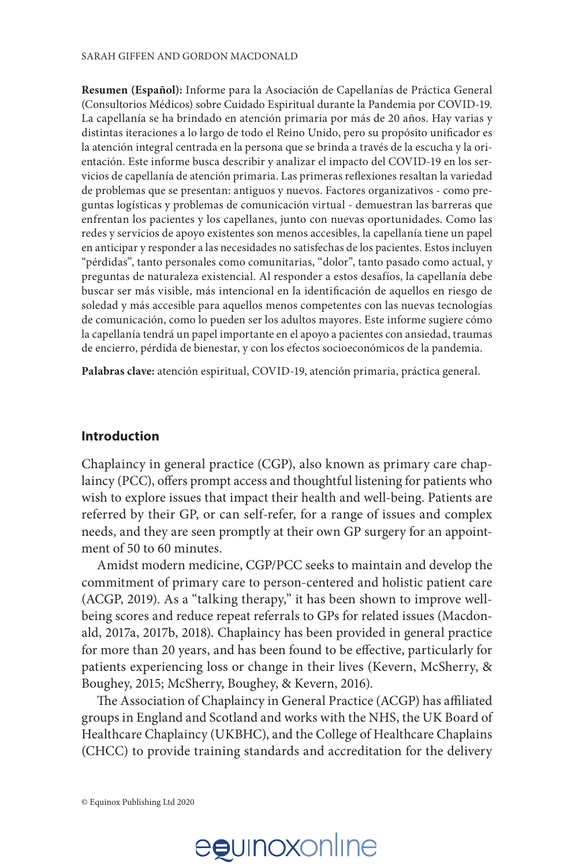**Resumen (Español):** Informe para la Asociación de Capellanías de Práctica General (Consultorios Médicos) sobre Cuidado Espiritual durante la Pandemia por COVID-19. La capellanía se ha brindado en atención primaria por más de 20 años. Hay varias y distintas iteraciones a lo largo de todo el Reino Unido, pero su propósito unificador es la atención integral centrada en la persona que se brinda a través de la escucha y la orientación. Este informe busca describir y analizar el impacto del COVID-19 en los servicios de capellanía de atención primaria. Las primeras reflexiones resaltan la variedad de problemas que se presentan: antiguos y nuevos. Factores organizativos - como preguntas logísticas y problemas de comunicación virtual - demuestran las barreras que enfrentan los pacientes y los capellanes, junto con nuevas oportunidades. Como las redes y servicios de apoyo existentes son menos accesibles, la capellanía tiene un papel en anticipar y responder a las necesidades no satisfechas de los pacientes. Estos incluyen "pérdidas", tanto personales como comunitarias, "dolor", tanto pasado como actual, y preguntas de naturaleza existencial. Al responder a estos desafíos, la capellanía debe buscar ser más visible, más intencional en la identificación de aquellos en riesgo de soledad y más accesible para aquellos menos competentes con las nuevas tecnologías de comunicación, como lo pueden ser los adultos mayores. Este informe sugiere cómo la capellanía tendrá un papel importante en el apoyo a pacientes con ansiedad, traumas de encierro, pérdida de bienestar, y con los efectos socioeconómicos de la pandemia.

**Palabras clave:** atención espiritual, COVID-19, atención primaria, práctica general.

#### **Introduction**

Chaplaincy in general practice (CGP), also known as primary care chaplaincy (PCC), offers prompt access and thoughtful listening for patients who wish to explore issues that impact their health and well-being. Patients are referred by their GP, or can self-refer, for a range of issues and complex needs, and they are seen promptly at their own GP surgery for an appointment of 50 to 60 minutes.

Amidst modern medicine, CGP/PCC seeks to maintain and develop the commitment of primary care to person-centered and holistic patient care (ACGP, 2019). As a "talking therapy," it has been shown to improve wellbeing scores and reduce repeat referrals to GPs for related issues (Macdonald, 2017a, 2017b, 2018). Chaplaincy has been provided in general practice for more than 20 years, and has been found to be effective, particularly for patients experiencing loss or change in their lives (Kevern, McSherry, & Boughey, 2015; McSherry, Boughey, & Kevern, 2016).

The Association of Chaplaincy in General Practice (ACGP) has affiliated groups in England and Scotland and works with the NHS, the UK Board of Healthcare Chaplaincy (UKBHC), and the College of Healthcare Chaplains (CHCC) to provide training standards and accreditation for the delivery

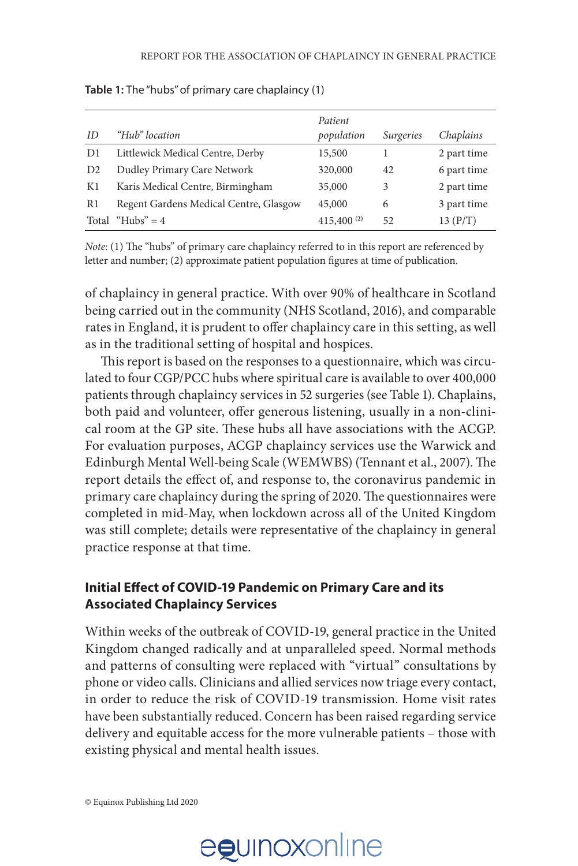| ID | "Hub" location                         | Patient<br>population | <i>Surgeries</i> | Chaplains   |
|----|----------------------------------------|-----------------------|------------------|-------------|
|    |                                        |                       |                  |             |
| D1 | Littlewick Medical Centre, Derby       | 15,500                |                  | 2 part time |
| D2 | Dudley Primary Care Network            | 320,000               | 42               | 6 part time |
| K1 | Karis Medical Centre, Birmingham       | 35,000                | 3                | 2 part time |
| R1 | Regent Gardens Medical Centre, Glasgow | 45,000                | 6                | 3 part time |
|    | Total "Hubs" = $4$                     | $415,400^{(2)}$       | 52               | 13(P/T)     |

**Table 1:** The "hubs" of primary care chaplaincy (1)

*Note*: (1) The "hubs" of primary care chaplaincy referred to in this report are referenced by letter and number; (2) approximate patient population figures at time of publication.

of chaplaincy in general practice. With over 90% of healthcare in Scotland being carried out in the community (NHS Scotland, 2016), and comparable rates in England, it is prudent to offer chaplaincy care in this setting, as well as in the traditional setting of hospital and hospices.

This report is based on the responses to a questionnaire, which was circulated to four CGP/PCC hubs where spiritual care is available to over 400,000 patients through chaplaincy services in 52 surgeries (see Table 1). Chaplains, both paid and volunteer, offer generous listening, usually in a non-clinical room at the GP site. These hubs all have associations with the ACGP. For evaluation purposes, ACGP chaplaincy services use the Warwick and Edinburgh Mental Well-being Scale (WEMWBS) (Tennant et al., 2007). The report details the effect of, and response to, the coronavirus pandemic in primary care chaplaincy during the spring of 2020. The questionnaires were completed in mid-May, when lockdown across all of the United Kingdom was still complete; details were representative of the chaplaincy in general practice response at that time.

### **Initial Effect of COVID-19 Pandemic on Primary Care and its Associated Chaplaincy Services**

Within weeks of the outbreak of COVID-19, general practice in the United Kingdom changed radically and at unparalleled speed. Normal methods and patterns of consulting were replaced with "virtual" consultations by phone or video calls. Clinicians and allied services now triage every contact, in order to reduce the risk of COVID-19 transmission. Home visit rates have been substantially reduced. Concern has been raised regarding service delivery and equitable access for the more vulnerable patients – those with existing physical and mental health issues.

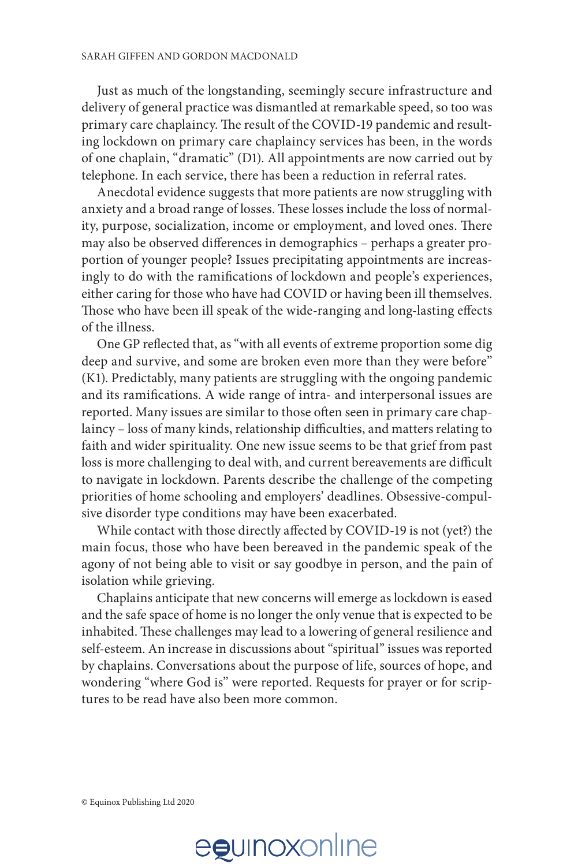Just as much of the longstanding, seemingly secure infrastructure and delivery of general practice was dismantled at remarkable speed, so too was primary care chaplaincy. The result of the COVID-19 pandemic and resulting lockdown on primary care chaplaincy services has been, in the words of one chaplain, "dramatic" (D1). All appointments are now carried out by telephone. In each service, there has been a reduction in referral rates.

Anecdotal evidence suggests that more patients are now struggling with anxiety and a broad range of losses. These losses include the loss of normality, purpose, socialization, income or employment, and loved ones. There may also be observed differences in demographics – perhaps a greater proportion of younger people? Issues precipitating appointments are increasingly to do with the ramifications of lockdown and people's experiences, either caring for those who have had COVID or having been ill themselves. Those who have been ill speak of the wide-ranging and long-lasting effects of the illness.

One GP reflected that, as "with all events of extreme proportion some dig deep and survive, and some are broken even more than they were before" (K1). Predictably, many patients are struggling with the ongoing pandemic and its ramifications. A wide range of intra- and interpersonal issues are reported. Many issues are similar to those often seen in primary care chaplaincy – loss of many kinds, relationship difficulties, and matters relating to faith and wider spirituality. One new issue seems to be that grief from past loss is more challenging to deal with, and current bereavements are difficult to navigate in lockdown. Parents describe the challenge of the competing priorities of home schooling and employers' deadlines. Obsessive-compulsive disorder type conditions may have been exacerbated.

While contact with those directly affected by COVID-19 is not (yet?) the main focus, those who have been bereaved in the pandemic speak of the agony of not being able to visit or say goodbye in person, and the pain of isolation while grieving.

Chaplains anticipate that new concerns will emerge as lockdown is eased and the safe space of home is no longer the only venue that is expected to be inhabited. These challenges may lead to a lowering of general resilience and self-esteem. An increase in discussions about "spiritual" issues was reported by chaplains. Conversations about the purpose of life, sources of hope, and wondering "where God is" were reported. Requests for prayer or for scriptures to be read have also been more common.

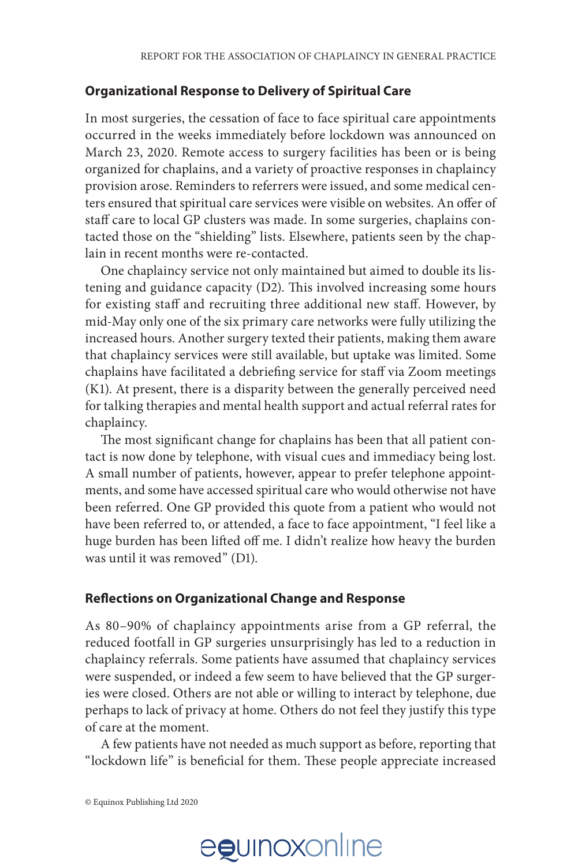#### **Organizational Response to Delivery of Spiritual Care**

In most surgeries, the cessation of face to face spiritual care appointments occurred in the weeks immediately before lockdown was announced on March 23, 2020. Remote access to surgery facilities has been or is being organized for chaplains, and a variety of proactive responses in chaplaincy provision arose. Reminders to referrers were issued, and some medical centers ensured that spiritual care services were visible on websites. An offer of staff care to local GP clusters was made. In some surgeries, chaplains contacted those on the "shielding" lists. Elsewhere, patients seen by the chaplain in recent months were re-contacted.

One chaplaincy service not only maintained but aimed to double its listening and guidance capacity (D2). This involved increasing some hours for existing staff and recruiting three additional new staff. However, by mid-May only one of the six primary care networks were fully utilizing the increased hours. Another surgery texted their patients, making them aware that chaplaincy services were still available, but uptake was limited. Some chaplains have facilitated a debriefing service for staff via Zoom meetings (K1). At present, there is a disparity between the generally perceived need for talking therapies and mental health support and actual referral rates for chaplaincy.

The most significant change for chaplains has been that all patient contact is now done by telephone, with visual cues and immediacy being lost. A small number of patients, however, appear to prefer telephone appointments, and some have accessed spiritual care who would otherwise not have been referred. One GP provided this quote from a patient who would not have been referred to, or attended, a face to face appointment, "I feel like a huge burden has been lifted off me. I didn't realize how heavy the burden was until it was removed" (D1).

### **Reflections on Organizational Change and Response**

As 80–90% of chaplaincy appointments arise from a GP referral, the reduced footfall in GP surgeries unsurprisingly has led to a reduction in chaplaincy referrals. Some patients have assumed that chaplaincy services were suspended, or indeed a few seem to have believed that the GP surgeries were closed. Others are not able or willing to interact by telephone, due perhaps to lack of privacy at home. Others do not feel they justify this type of care at the moment.

A few patients have not needed as much support as before, reporting that "lockdown life" is beneficial for them. These people appreciate increased

© Equinox Publishing Ltd 2020

# egunoxonline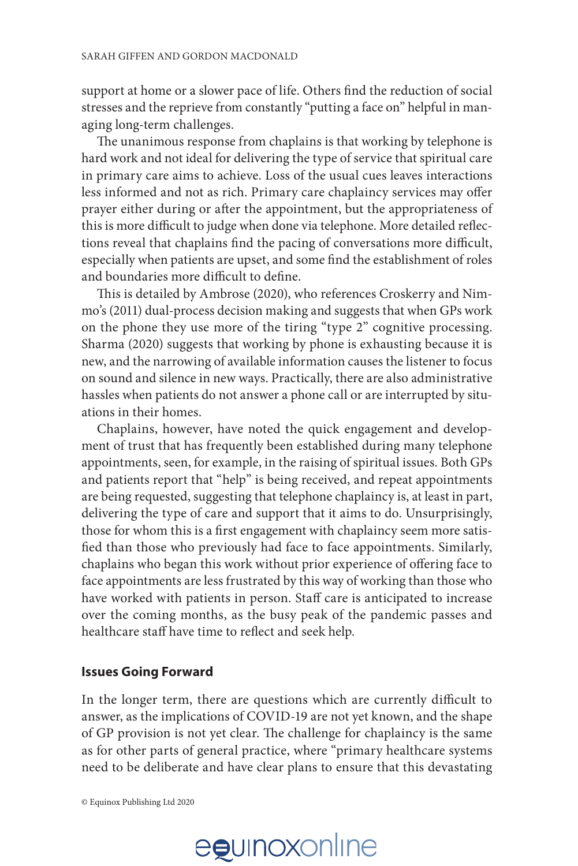support at home or a slower pace of life. Others find the reduction of social stresses and the reprieve from constantly "putting a face on" helpful in managing long-term challenges.

The unanimous response from chaplains is that working by telephone is hard work and not ideal for delivering the type of service that spiritual care in primary care aims to achieve. Loss of the usual cues leaves interactions less informed and not as rich. Primary care chaplaincy services may offer prayer either during or after the appointment, but the appropriateness of this is more difficult to judge when done via telephone. More detailed reflections reveal that chaplains find the pacing of conversations more difficult, especially when patients are upset, and some find the establishment of roles and boundaries more difficult to define.

This is detailed by Ambrose (2020), who references Croskerry and Nimmo's (2011) dual-process decision making and suggests that when GPs work on the phone they use more of the tiring "type 2" cognitive processing. Sharma (2020) suggests that working by phone is exhausting because it is new, and the narrowing of available information causes the listener to focus on sound and silence in new ways. Practically, there are also administrative hassles when patients do not answer a phone call or are interrupted by situations in their homes.

Chaplains, however, have noted the quick engagement and development of trust that has frequently been established during many telephone appointments, seen, for example, in the raising of spiritual issues. Both GPs and patients report that "help" is being received, and repeat appointments are being requested, suggesting that telephone chaplaincy is, at least in part, delivering the type of care and support that it aims to do. Unsurprisingly, those for whom this is a first engagement with chaplaincy seem more satisfied than those who previously had face to face appointments. Similarly, chaplains who began this work without prior experience of offering face to face appointments are less frustrated by this way of working than those who have worked with patients in person. Staff care is anticipated to increase over the coming months, as the busy peak of the pandemic passes and healthcare staff have time to reflect and seek help.

### **Issues Going Forward**

In the longer term, there are questions which are currently difficult to answer, as the implications of COVID-19 are not yet known, and the shape of GP provision is not yet clear. The challenge for chaplaincy is the same as for other parts of general practice, where "primary healthcare systems need to be deliberate and have clear plans to ensure that this devastating

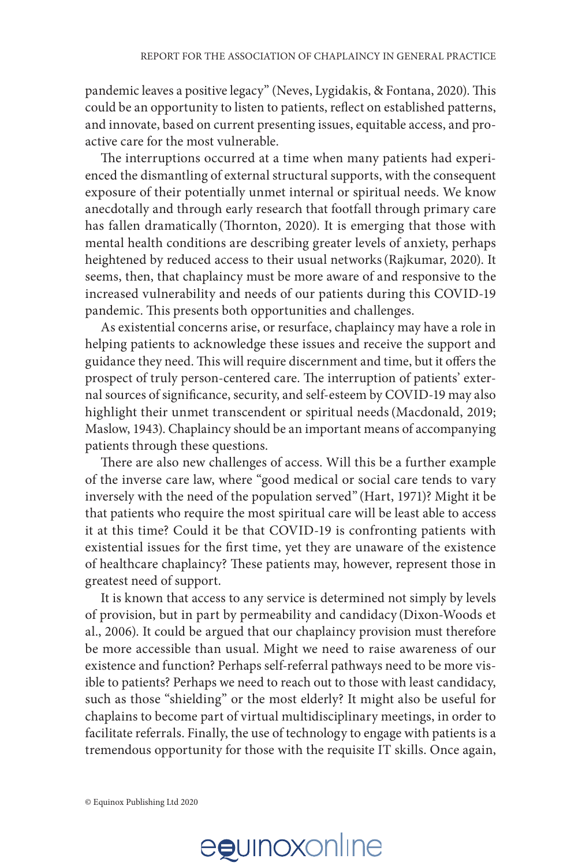pandemic leaves a positive legacy" (Neves, Lygidakis, & Fontana, 2020). This could be an opportunity to listen to patients, reflect on established patterns, and innovate, based on current presenting issues, equitable access, and proactive care for the most vulnerable.

The interruptions occurred at a time when many patients had experienced the dismantling of external structural supports, with the consequent exposure of their potentially unmet internal or spiritual needs. We know anecdotally and through early research that footfall through primary care has fallen dramatically (Thornton, 2020). It is emerging that those with mental health conditions are describing greater levels of anxiety, perhaps heightened by reduced access to their usual networks(Rajkumar, 2020). It seems, then, that chaplaincy must be more aware of and responsive to the increased vulnerability and needs of our patients during this COVID-19 pandemic. This presents both opportunities and challenges.

As existential concerns arise, or resurface, chaplaincy may have a role in helping patients to acknowledge these issues and receive the support and guidance they need. This will require discernment and time, but it offers the prospect of truly person-centered care. The interruption of patients' external sources of significance, security, and self-esteem by COVID-19 may also highlight their unmet transcendent or spiritual needs(Macdonald, 2019; Maslow, 1943). Chaplaincy should be an important means of accompanying patients through these questions.

There are also new challenges of access. Will this be a further example of the inverse care law, where "good medical or social care tends to vary inversely with the need of the population served" (Hart, 1971)? Might it be that patients who require the most spiritual care will be least able to access it at this time? Could it be that COVID-19 is confronting patients with existential issues for the first time, yet they are unaware of the existence of healthcare chaplaincy? These patients may, however, represent those in greatest need of support.

It is known that access to any service is determined not simply by levels of provision, but in part by permeability and candidacy (Dixon-Woods et al., 2006). It could be argued that our chaplaincy provision must therefore be more accessible than usual. Might we need to raise awareness of our existence and function? Perhaps self-referral pathways need to be more visible to patients? Perhaps we need to reach out to those with least candidacy, such as those "shielding" or the most elderly? It might also be useful for chaplains to become part of virtual multidisciplinary meetings, in order to facilitate referrals. Finally, the use of technology to engage with patients is a tremendous opportunity for those with the requisite IT skills. Once again,

© Equinox Publishing Ltd 2020

# egunoxonline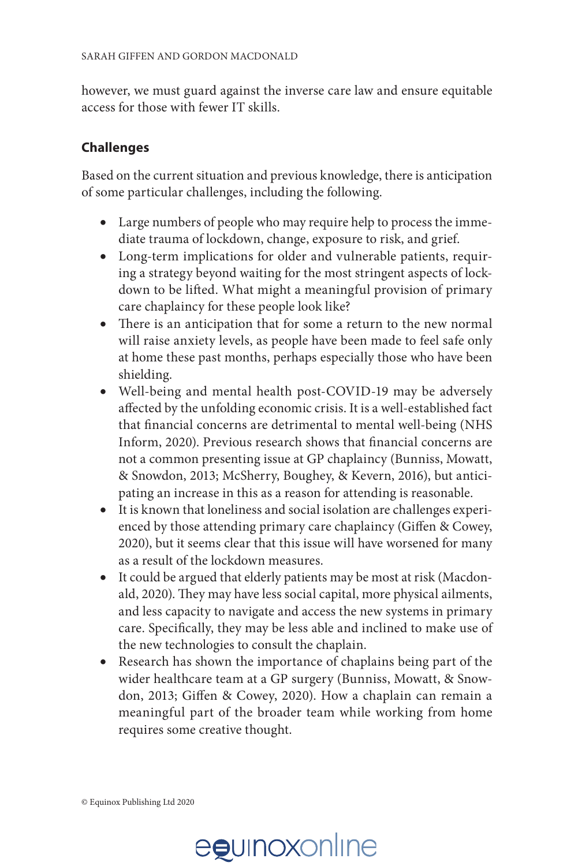however, we must guard against the inverse care law and ensure equitable access for those with fewer IT skills.

### **Challenges**

Based on the current situation and previous knowledge, there is anticipation of some particular challenges, including the following.

- Large numbers of people who may require help to process the immediate trauma of lockdown, change, exposure to risk, and grief.
- Long-term implications for older and vulnerable patients, requiring a strategy beyond waiting for the most stringent aspects of lockdown to be lifted. What might a meaningful provision of primary care chaplaincy for these people look like?
- There is an anticipation that for some a return to the new normal will raise anxiety levels, as people have been made to feel safe only at home these past months, perhaps especially those who have been shielding.
- Well-being and mental health post-COVID-19 may be adversely affected by the unfolding economic crisis. It is a well-established fact that financial concerns are detrimental to mental well-being (NHS Inform, 2020). Previous research shows that financial concerns are not a common presenting issue at GP chaplaincy (Bunniss, Mowatt, & Snowdon, 2013; McSherry, Boughey, & Kevern, 2016), but anticipating an increase in this as a reason for attending is reasonable.
- It is known that loneliness and social isolation are challenges experienced by those attending primary care chaplaincy (Giffen & Cowey, 2020), but it seems clear that this issue will have worsened for many as a result of the lockdown measures.
- It could be argued that elderly patients may be most at risk (Macdonald, 2020). They may have less social capital, more physical ailments, and less capacity to navigate and access the new systems in primary care. Specifically, they may be less able and inclined to make use of the new technologies to consult the chaplain.
- Research has shown the importance of chaplains being part of the wider healthcare team at a GP surgery (Bunniss, Mowatt, & Snowdon, 2013; Giffen & Cowey, 2020). How a chaplain can remain a meaningful part of the broader team while working from home requires some creative thought.

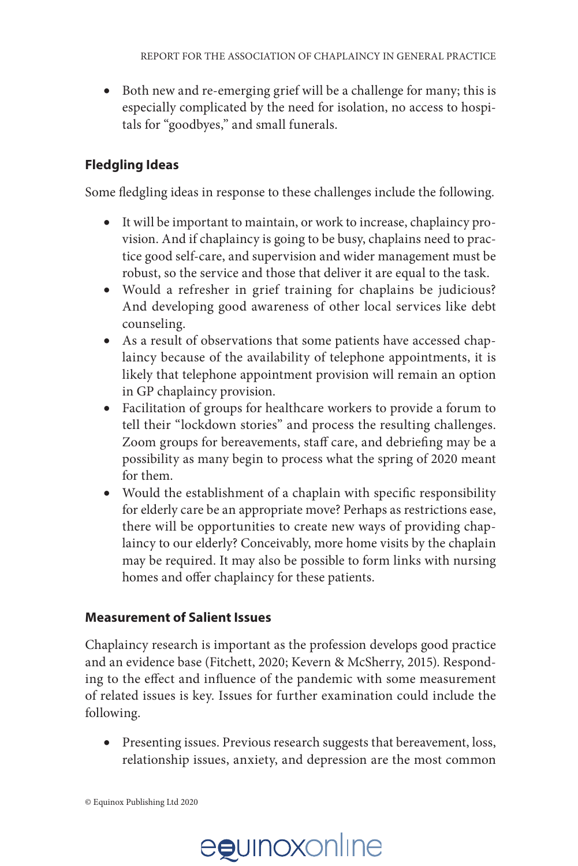• Both new and re-emerging grief will be a challenge for many; this is especially complicated by the need for isolation, no access to hospitals for "goodbyes," and small funerals.

## **Fledgling Ideas**

Some fledgling ideas in response to these challenges include the following.

- It will be important to maintain, or work to increase, chaplaincy provision. And if chaplaincy is going to be busy, chaplains need to practice good self-care, and supervision and wider management must be robust, so the service and those that deliver it are equal to the task.
- Would a refresher in grief training for chaplains be judicious? And developing good awareness of other local services like debt counseling.
- As a result of observations that some patients have accessed chaplaincy because of the availability of telephone appointments, it is likely that telephone appointment provision will remain an option in GP chaplaincy provision.
- Facilitation of groups for healthcare workers to provide a forum to tell their "lockdown stories" and process the resulting challenges. Zoom groups for bereavements, staff care, and debriefing may be a possibility as many begin to process what the spring of 2020 meant for them.
- Would the establishment of a chaplain with specific responsibility for elderly care be an appropriate move? Perhaps as restrictions ease, there will be opportunities to create new ways of providing chaplaincy to our elderly? Conceivably, more home visits by the chaplain may be required. It may also be possible to form links with nursing homes and offer chaplaincy for these patients.

### **Measurement of Salient Issues**

Chaplaincy research is important as the profession develops good practice and an evidence base (Fitchett, 2020; Kevern & McSherry, 2015). Responding to the effect and influence of the pandemic with some measurement of related issues is key. Issues for further examination could include the following.

• Presenting issues. Previous research suggests that bereavement, loss, relationship issues, anxiety, and depression are the most common

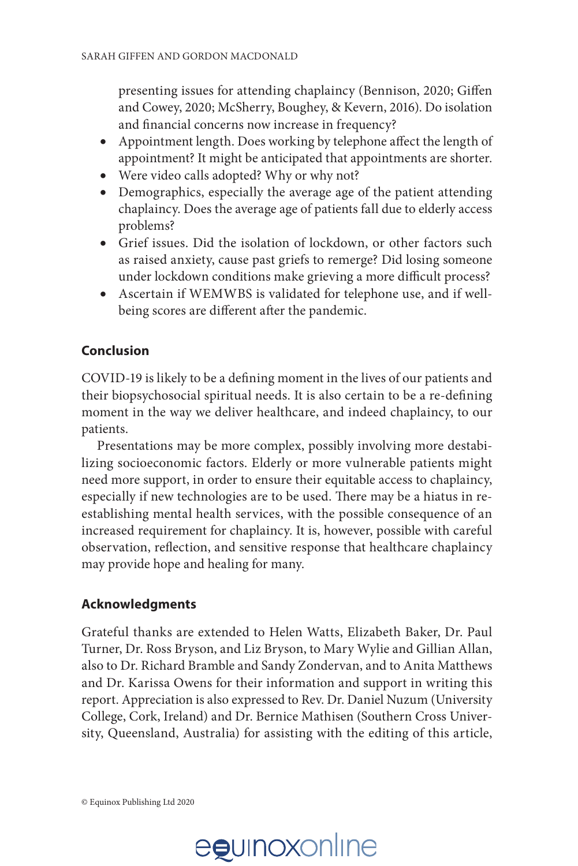presenting issues for attending chaplaincy (Bennison, 2020; Giffen and Cowey, 2020; McSherry, Boughey, & Kevern, 2016). Do isolation and financial concerns now increase in frequency?

- Appointment length. Does working by telephone affect the length of appointment? It might be anticipated that appointments are shorter.
- Were video calls adopted? Why or why not?
- Demographics, especially the average age of the patient attending chaplaincy. Does the average age of patients fall due to elderly access problems?
- Grief issues. Did the isolation of lockdown, or other factors such as raised anxiety, cause past griefs to remerge? Did losing someone under lockdown conditions make grieving a more difficult process?
- Ascertain if WEMWBS is validated for telephone use, and if wellbeing scores are different after the pandemic.

### **Conclusion**

COVID-19 is likely to be a defining moment in the lives of our patients and their biopsychosocial spiritual needs. It is also certain to be a re-defining moment in the way we deliver healthcare, and indeed chaplaincy, to our patients.

Presentations may be more complex, possibly involving more destabilizing socioeconomic factors. Elderly or more vulnerable patients might need more support, in order to ensure their equitable access to chaplaincy, especially if new technologies are to be used. There may be a hiatus in reestablishing mental health services, with the possible consequence of an increased requirement for chaplaincy. It is, however, possible with careful observation, reflection, and sensitive response that healthcare chaplaincy may provide hope and healing for many.

### **Acknowledgments**

Grateful thanks are extended to Helen Watts, Elizabeth Baker, Dr. Paul Turner, Dr. Ross Bryson, and Liz Bryson, to Mary Wylie and Gillian Allan, also to Dr. Richard Bramble and Sandy Zondervan, and to Anita Matthews and Dr. Karissa Owens for their information and support in writing this report. Appreciation is also expressed to Rev. Dr. Daniel Nuzum (University College, Cork, Ireland) and Dr. Bernice Mathisen (Southern Cross University, Queensland, Australia) for assisting with the editing of this article,

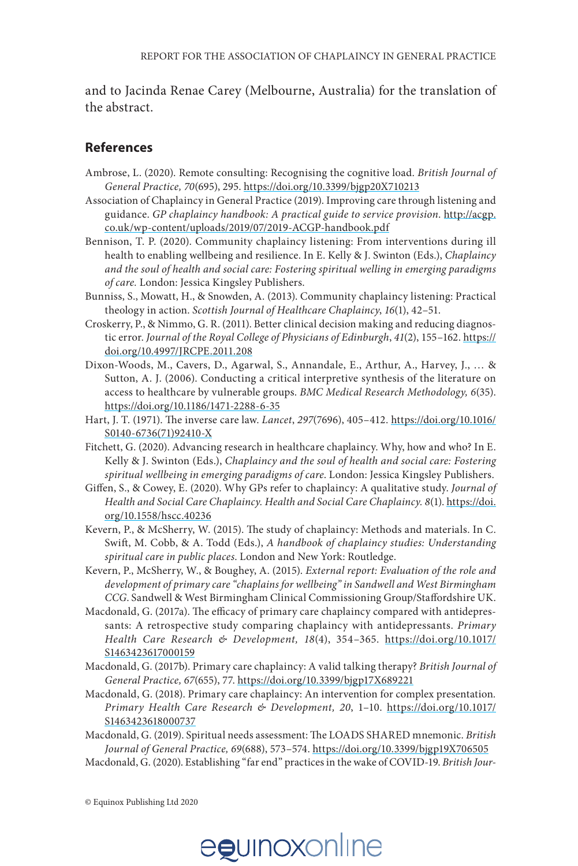and to Jacinda Renae Carey (Melbourne, Australia) for the translation of the abstract.

#### **References**

- Ambrose, L. (2020). Remote consulting: Recognising the cognitive load. *British Journal of General Practice, 70*(695), 295. <https://doi.org/10.3399/bjgp20X710213>
- Association of Chaplaincy in General Practice (2019). Improving care through listening and guidance. *GP chaplaincy handbook: A practical guide to service provision*. [http://acgp.](http://acgp.co.uk/wp-content/uploads/2019/07/2019-ACGP-handbook.pdf) [co.uk/wp-content/uploads/2019/07/2019-ACGP-handbook.pdf](http://acgp.co.uk/wp-content/uploads/2019/07/2019-ACGP-handbook.pdf)
- Bennison, T. P. (2020). Community chaplaincy listening: From interventions during ill health to enabling wellbeing and resilience. In E. Kelly & J. Swinton (Eds.), *Chaplaincy and the soul of health and social care: Fostering spiritual welling in emerging paradigms of care.* London: Jessica Kingsley Publishers.
- Bunniss, S., Mowatt, H., & Snowden, A. (2013). Community chaplaincy listening: Practical theology in action. *Scottish Journal of Healthcare Chaplaincy*, *16*(1), 42–51.
- Croskerry, P., & Nimmo, G. R. (2011). Better clinical decision making and reducing diagnostic error. *Journal of the Royal College of Physicians of Edinburgh*, *41*(2), 155–162. [https://](https://doi.org/10.4997/JRCPE.2011.208) [doi.org/10.4997/JRCPE.2011.208](https://doi.org/10.4997/JRCPE.2011.208)
- Dixon-Woods, M., Cavers, D., Agarwal, S., Annandale, E., Arthur, A., Harvey, J., … & Sutton, A. J. (2006). Conducting a critical interpretive synthesis of the literature on access to healthcare by vulnerable groups. *BMC Medical Research Methodology, 6*(35). <https://doi.org/10.1186/1471-2288-6-35>
- Hart, J. T. (1971). The inverse care law. *Lancet*, *297*(7696), 405–412. [https://doi.org/10.1016/](https://doi.org/10.1016/S0140-6736(71)92410-X) [S0140-6736\(71\)92410-X](https://doi.org/10.1016/S0140-6736(71)92410-X)
- Fitchett, G. (2020). Advancing research in healthcare chaplaincy. Why, how and who? In E. Kelly & J. Swinton (Eds.), *Chaplaincy and the soul of health and social care: Fostering spiritual wellbeing in emerging paradigms of care*. London: Jessica Kingsley Publishers.
- Giffen, S., & Cowey, E. (2020). Why GPs refer to chaplaincy: A qualitative study. *Journal of Health and Social Care Chaplaincy. Health and Social Care Chaplaincy. 8*(1). [https://doi.](https://doi.org/10.1558/hscc.40236) [org/1](https://doi.org/10.1558/hscc.40236)0.1558/hscc.40236
- Kevern, P., & McSherry, W. (2015). The study of chaplaincy: Methods and materials. In C. Swift, M. Cobb, & A. Todd (Eds.), *A handbook of chaplaincy studies: Understanding spiritual care in public places*. London and New York: Routledge.
- Kevern, P., McSherry, W., & Boughey, A. (2015). *External report: Evaluation of the role and development of primary care "chaplains for wellbeing" in Sandwell and West Birmingham CCG*. Sandwell & West Birmingham Clinical Commissioning Group/Staffordshire UK.
- Macdonald, G. (2017a). The efficacy of primary care chaplaincy compared with antidepressants: A retrospective study comparing chaplaincy with antidepressants. *Primary Health Care Research & Development, 18*(4), 354–365. [https://doi.org/10.1017/](https://doi.org/10.1017/S1463423617000159) [S1463423617000159](https://doi.org/10.1017/S1463423617000159)
- Macdonald, G. (2017b). Primary care chaplaincy: A valid talking therapy? *British Journal of General Practice, 67*(655), 77. <https://doi.org/10.3399/bjgp17X689221>
- Macdonald, G. (2018). Primary care chaplaincy: An intervention for complex presentation*. Primary Health Care Research & Development, 20*, 1–10. [https://doi.org/10.1017/](https://doi.org/10.1017/S1463423618000737) [S1463423618000737](https://doi.org/10.1017/S1463423618000737)
- Macdonald, G. (2019). Spiritual needs assessment: The LOADS SHARED mnemonic. *British Journal of General Practice, 69*(688), 573–574.<https://doi.org/10.3399/bjgp19X706505>
- Macdonald, G. (2020). Establishing "far end" practices in the wake of COVID-19. *British Jour-*

© Equinox Publishing Ltd 2020

# egunoxonline